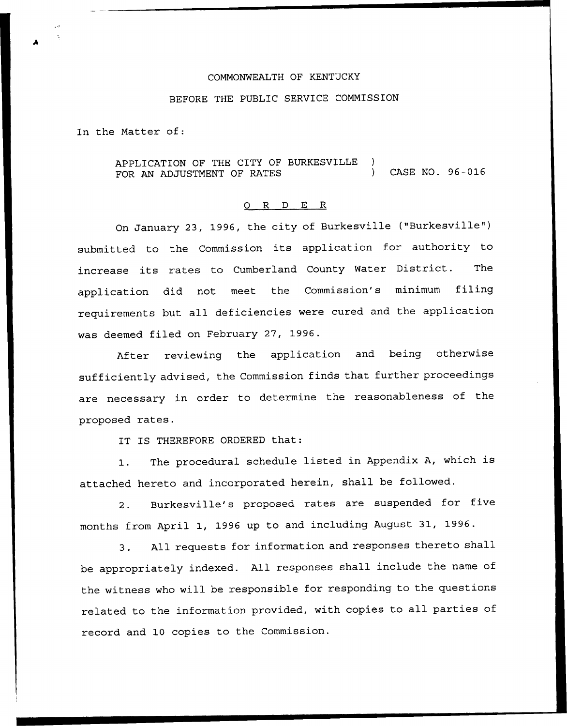# COMMONWEALTH OF KENTUCKY

### BEFORE THE PUBLIC SERVICE COMMISSION

In the Matter of:

APPLICATION OF THE CITY OF BURKESVILLE ) FOR AN ADJUSTMENT OF RATES (2008) CASE NO. 96-016

#### 0 R <sup>D</sup> E R

On January 23, 1996, the city of Burkesville ("Burkesville") submitted to the Commission its application for authority to increase its rates to Cumberland County Water District. The application did not meet the Commission's minimum filing requirements but all deficiencies were cured and the application was deemed filed on February 27, 1996.

After reviewing the application and being otherwise sufficiently advised, the Commission finds that further proceedings are necessary in order to determine the reasonableness of the proposed rates.

IT IS THEREFORE ORDERED that:

1. The procedural schedule listed in Appendix A, which is attached hereto and incorporated herein, shall be followed.

2. Burkesville's proposed rates are suspended for five months from April 1, 1996 up to and including August 31, 1996.

3. All requests for information and responses thereto shall be appropriately indexed. All responses shall include the name of the witness who will be responsible for responding to the questions related to the information provided, with copies to all parties of record and 10 copies to the Commission.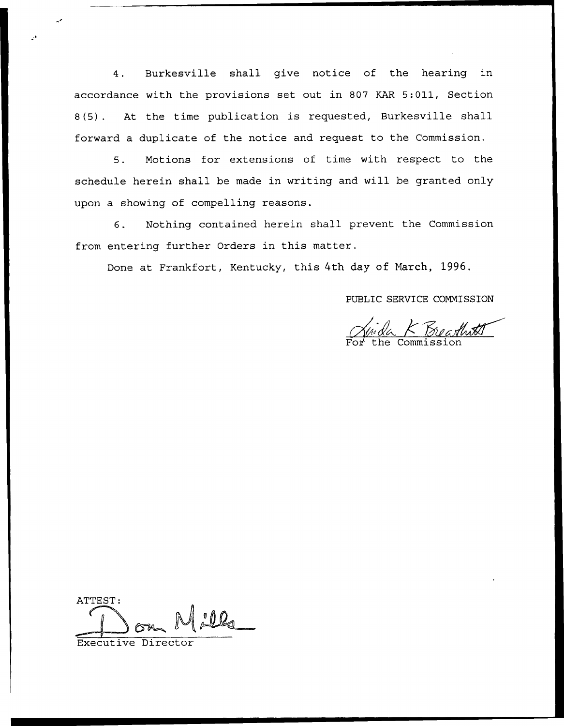4. Burkesville shall give notice of the hearing in accordance with the provisions set out in 807 KAR 5:011, Section 8(5). At the time publication is requested, Burkesville shall forward a duplicate of the notice and request to the Commission.

5. Motions for extensions of time with respect to the schedule herein shall be made in writing and will be granted only upon a showing of compelling reasons.

6. Nothing contained herein shall prevent the Commission from entering further Orders in this matter.

Done at Frankfort, Kentucky, this 4th day of Narch, 1996.

PUBLIC SERVICE COMMISSION

For the Commission

ATTEST:

Executive Director